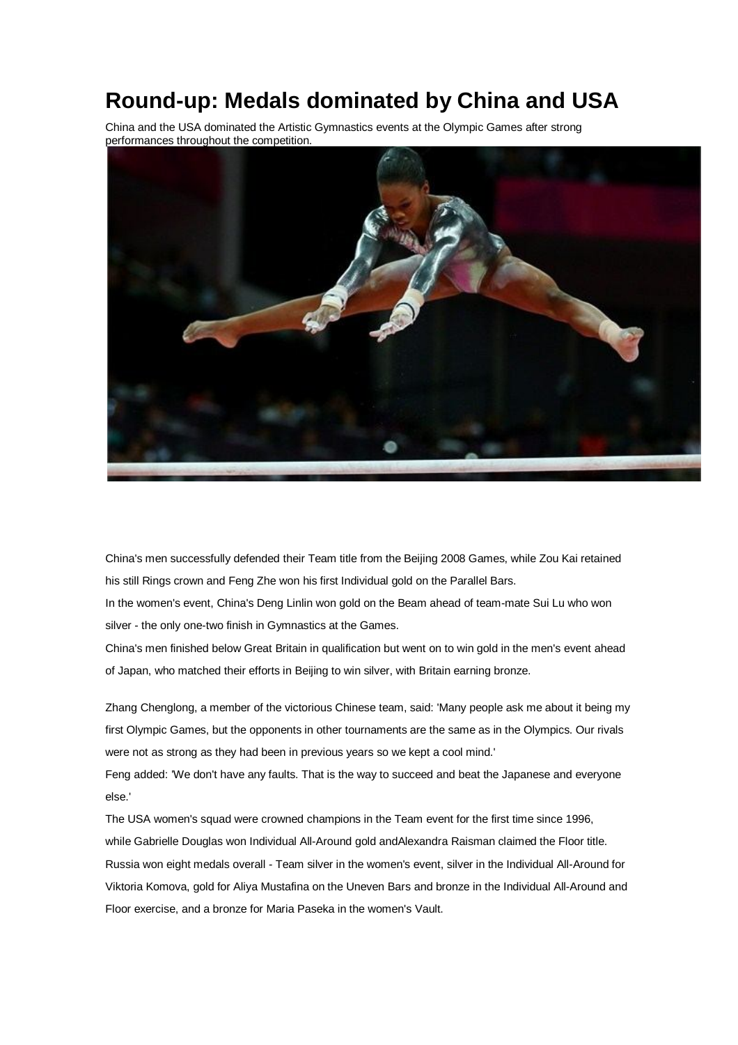## **Round-up: Medals dominated by China and USA**

China and the USA dominated the Artistic Gymnastics events at the Olympic Games after strong performances throughout the competition.



China's men successfully defended their Team title from the Beijing 2008 Games, while Zou Kai retained his still Rings crown and Feng Zhe won his first Individual gold on the Parallel Bars.

In the women's event, China's Deng Linlin won gold on the Beam ahead of team-mate Sui Lu who won silver - the only one-two finish in Gymnastics at the Games.

China's men finished below Great Britain in qualification but went on to win gold in the men's event ahead of Japan, who matched their efforts in Beijing to win silver, with Britain earning bronze.

Zhang Chenglong, a member of the victorious Chinese team, said: 'Many people ask me about it being my first Olympic Games, but the opponents in other tournaments are the same as in the Olympics. Our rivals were not as strong as they had been in previous years so we kept a cool mind.'

Feng added: 'We don't have any faults. That is the way to succeed and beat the Japanese and everyone else.'

The USA women's squad were crowned champions in the Team event for the first time since 1996, while Gabrielle Douglas won Individual All-Around gold andAlexandra Raisman claimed the Floor title. Russia won eight medals overall - Team silver in the women's event, silver in the Individual All-Around for Viktoria Komova, gold for Aliya Mustafina on the Uneven Bars and bronze in the Individual All-Around and Floor exercise, and a bronze for Maria Paseka in the women's Vault.